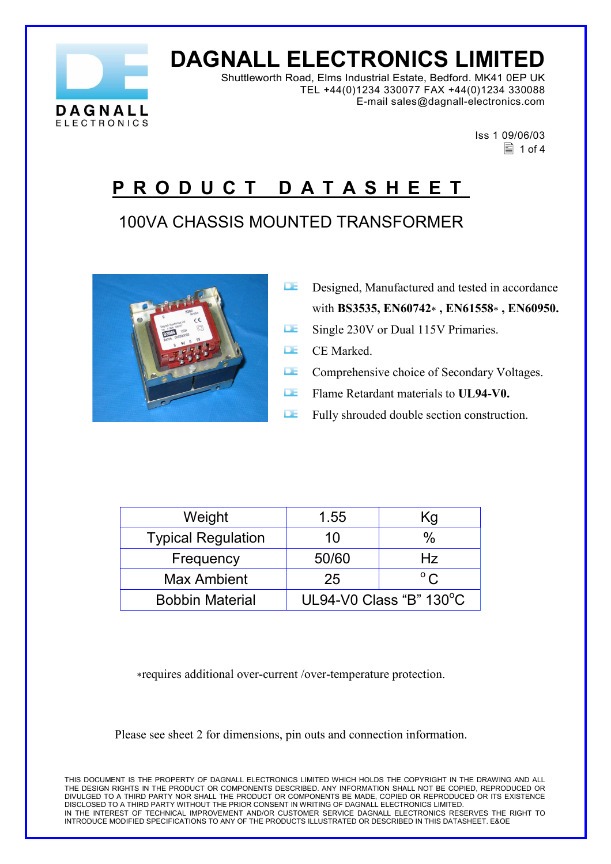

# **DAGNALL ELECTRONICS LIMITED**

Shuttleworth Road, Elms Industrial Estate, Bedford. MK41 0EP UK TEL +44(0)1234 330077 FAX +44(0)1234 330088 E-mail sales@dagnall-electronics.com

 Iss 1 09/06/03  $\equiv$  1 of 4

#### **P R O D U C T D A T A S H E E T**

#### 100VA CHASSIS MOUNTED TRANSFORMER



- **Designed, Manufactured and tested in accordance** with **BS3535, EN60742**∗ **, EN61558**∗ **, EN60950.**
- Single 230V or Dual 115V Primaries.
- **E.** CE Marked.
- **LE** Comprehensive choice of Secondary Voltages.
- **E** Flame Retardant materials to **UL94-V0.**
- **Fully shrouded double section construction.**

| Weight                    | 1.55                    | Κg             |
|---------------------------|-------------------------|----------------|
| <b>Typical Regulation</b> | 10                      | %              |
| Frequency                 | 50/60                   | Hz             |
| <b>Max Ambient</b>        | 25                      | $\circ$ $\sim$ |
| <b>Bobbin Material</b>    | UL94-V0 Class "B" 130°C |                |

∗requires additional over-current /over-temperature protection.

Please see sheet 2 for dimensions, pin outs and connection information.

THIS DOCUMENT IS THE PROPERTY OF DAGNALL ELECTRONICS LIMITED WHICH HOLDS THE COPYRIGHT IN THE DRAWING AND ALL THE DESIGN RIGHTS IN THE PRODUCT OR COMPONENTS DESCRIBED. ANY INFORMATION SHALL NOT BE COPIED, REPRODUCED OR DIVULGED TO A THIRD PARTY NOR SHALL THE PRODUCT OR COMPONENTS BE MADE, COPIED OR REPRODUCED OR ITS EXISTENCE DISCLOSED TO A THIRD PARTY WITHOUT THE PRIOR CONSENT IN WRITING OF DAGNALL ELECTRONICS LIMITED. IN THE INTEREST OF TECHNICAL IMPROVEMENT AND/OR CUSTOMER SERVICE DAGNALL ELECTRONICS RESERVES THE RIGHT TO INTRODUCE MODIFIED SPECIFICATIONS TO ANY OF THE PRODUCTS ILLUSTRATED OR DESCRIBED IN THIS DATASHEET. E&OE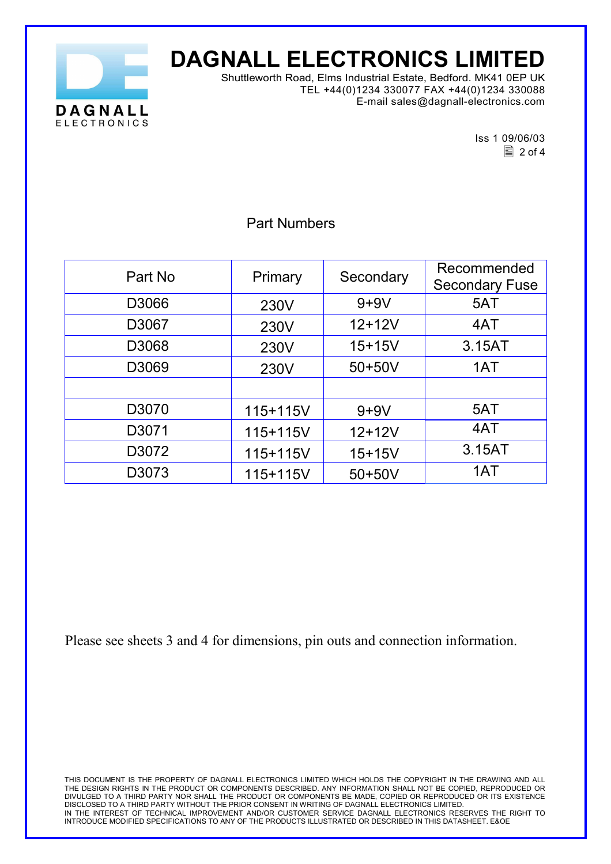

# **DAGNALL ELECTRONICS LIMITED**

Shuttleworth Road, Elms Industrial Estate, Bedford. MK41 0EP UK TEL +44(0)1234 330077 FAX +44(0)1234 330088 E-mail sales@dagnall-electronics.com

Iss 1 09/06/03  $\equiv$  2 of 4

|         |          |            | Recommended           |
|---------|----------|------------|-----------------------|
| Part No | Primary  | Secondary  |                       |
|         |          |            | <b>Secondary Fuse</b> |
| D3066   | 230V     | $9+9V$     | 5AT                   |
| D3067   | 230V     | $12 + 12V$ | 4AT                   |
| D3068   | 230V     | $15 + 15V$ | 3.15AT                |
| D3069   | 230V     | 50+50V     | 1AT                   |
|         |          |            |                       |
| D3070   | 115+115V | $9+9V$     | 5AT                   |
| D3071   | 115+115V | $12+12V$   | 4AT                   |
| D3072   | 115+115V | $15 + 15V$ | 3.15AT                |
| D3073   | 115+115V | 50+50V     | 1AT                   |

Part Numbers

Please see sheets 3 and 4 for dimensions, pin outs and connection information.

THIS DOCUMENT IS THE PROPERTY OF DAGNALL ELECTRONICS LIMITED WHICH HOLDS THE COPYRIGHT IN THE DRAWING AND ALL THE DESIGN RIGHTS IN THE PRODUCT OR COMPONENTS DESCRIBED. ANY INFORMATION SHALL NOT BE COPIED, REPRODUCED OR DIVULGED TO A THIRD PARTY NOR SHALL THE PRODUCT OR COMPONENTS BE MADE, COPIED OR REPRODUCED OR ITS EXISTENCE DISCLOSED TO A THIRD PARTY WITHOUT THE PRIOR CONSENT IN WRITING OF DAGNALL ELECTRONICS LIMITED. IN THE INTEREST OF TECHNICAL IMPROVEMENT AND/OR CUSTOMER SERVICE DAGNALL ELECTRONICS RESERVES THE RIGHT TO INTRODUCE MODIFIED SPECIFICATIONS TO ANY OF THE PRODUCTS ILLUSTRATED OR DESCRIBED IN THIS DATASHEET. E&OE